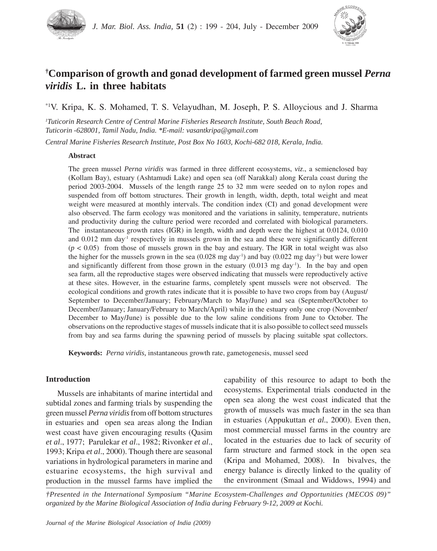



# **† Comparison of growth and gonad development of farmed green mussel** *Perna viridis* **L. in three habitats**

\*1V. Kripa, K. S. Mohamed, T. S. Velayudhan, M. Joseph, P. S. Alloycious and J. Sharma

*1 Tuticorin Research Centre of Central Marine Fisheries Research Institute, South Beach Road, Tuticorin -628001, Tamil Nadu, India. \*E-mail: vasantkripa@gmail.com*

*Central Marine Fisheries Research Institute, Post Box No 1603, Kochi-682 018, Kerala, India.*

# **Abstract**

The green mussel *Perna viridis* was farmed in three different ecosystems, *viz*., a semienclosed bay (Kollam Bay), estuary (Ashtamudi Lake) and open sea (off Narakkal) along Kerala coast during the period 2003-2004. Mussels of the length range 25 to 32 mm were seeded on to nylon ropes and suspended from off bottom structures. Their growth in length, width, depth, total weight and meat weight were measured at monthly intervals. The condition index (CI) and gonad development were also observed. The farm ecology was monitored and the variations in salinity, temperature, nutrients and productivity during the culture period were recorded and correlated with biological parameters. The instantaneous growth rates (IGR) in length, width and depth were the highest at 0.0124, 0.010 and 0.012 mm day<sup>-1</sup> respectively in mussels grown in the sea and these were significantly different  $(p < 0.05)$  from those of mussels grown in the bay and estuary. The IGR in total weight was also the higher for the mussels grown in the sea  $(0.028 \text{ mg day}^{-1})$  and bay  $(0.022 \text{ mg day}^{-1})$  but were lower and significantly different from those grown in the estuary  $(0.013 \text{ mg day}^{-1})$ . In the bay and open sea farm, all the reproductive stages were observed indicating that mussels were reproductively active at these sites. However, in the estuarine farms, completely spent mussels were not observed. The ecological conditions and growth rates indicate that it is possible to have two crops from bay (August/ September to December/January; February/March to May/June) and sea (September/October to December/January; January/February to March/April) while in the estuary only one crop (November/ December to May/June) is possible due to the low saline conditions from June to October. The observations on the reproductive stages of mussels indicate that it is also possible to collect seed mussels from bay and sea farms during the spawning period of mussels by placing suitable spat collectors.

**Keywords:** *Perna viridis,* instantaneous growth rate, gametogenesis, mussel seed

# **Introduction**

Mussels are inhabitants of marine intertidal and subtidal zones and farming trials by suspending the green mussel *Perna viridis* from off bottom structures in estuaries and open sea areas along the Indian west coast have given encouraging results (Qasim *et al*., 1977; Parulekar *et al*., 1982; Rivonker *et al*., 1993; Kripa *et al*., 2000). Though there are seasonal variations in hydrological parameters in marine and estuarine ecosystems, the high survival and production in the mussel farms have implied the capability of this resource to adapt to both the ecosystems. Experimental trials conducted in the open sea along the west coast indicated that the growth of mussels was much faster in the sea than in estuaries (Appukuttan *et al*., 2000). Even then, most commercial mussel farms in the country are located in the estuaries due to lack of security of farm structure and farmed stock in the open sea (Kripa and Mohamed, 2008). In bivalves, the energy balance is directly linked to the quality of the environment (Smaal and Widdows, 1994) and

*†Presented in the International Symposium "Marine Ecosystem-Challenges and Opportunities (MECOS 09)" organized by the Marine Biological Association of India during February 9-12, 2009 at Kochi.*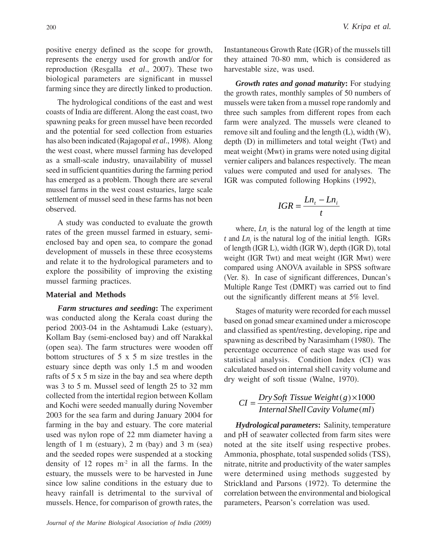positive energy defined as the scope for growth, represents the energy used for growth and/or for reproduction (Resgalla *et al*., 2007). These two biological parameters are significant in mussel farming since they are directly linked to production.

The hydrological conditions of the east and west coasts of India are different. Along the east coast, two spawning peaks for green mussel have been recorded and the potential for seed collection from estuaries has also been indicated (Rajagopal *et al*., 1998). Along the west coast, where mussel farming has developed as a small-scale industry, unavailability of mussel seed in sufficient quantities during the farming period has emerged as a problem. Though there are several mussel farms in the west coast estuaries, large scale settlement of mussel seed in these farms has not been observed.

A study was conducted to evaluate the growth rates of the green mussel farmed in estuary, semienclosed bay and open sea, to compare the gonad development of mussels in these three ecosystems and relate it to the hydrological parameters and to explore the possibility of improving the existing mussel farming practices.

## **Material and Methods**

*Farm structures and seeding***:** The experiment was conducted along the Kerala coast during the period 2003-04 in the Ashtamudi Lake (estuary), Kollam Bay (semi-enclosed bay) and off Narakkal (open sea). The farm structures were wooden off bottom structures of 5 x 5 m size trestles in the estuary since depth was only 1.5 m and wooden rafts of 5 x 5 m size in the bay and sea where depth was 3 to 5 m. Mussel seed of length 25 to 32 mm collected from the intertidal region between Kollam and Kochi were seeded manually during November 2003 for the sea farm and during January 2004 for farming in the bay and estuary. The core material used was nylon rope of 22 mm diameter having a length of 1 m (estuary), 2 m (bay) and 3 m (sea) and the seeded ropes were suspended at a stocking density of 12 ropes m-2 in all the farms. In the estuary, the mussels were to be harvested in June since low saline conditions in the estuary due to heavy rainfall is detrimental to the survival of mussels. Hence, for comparison of growth rates, the

Instantaneous Growth Rate (IGR) of the mussels till they attained 70-80 mm, which is considered as harvestable size, was used.

*Growth rates and gonad maturity***:** For studying the growth rates, monthly samples of 50 numbers of mussels were taken from a mussel rope randomly and three such samples from different ropes from each farm were analyzed. The mussels were cleaned to remove silt and fouling and the length (L), width (W), depth (D) in millimeters and total weight (Twt) and meat weight (Mwt) in grams were noted using digital vernier calipers and balances respectively. The mean values were computed and used for analyses. The IGR was computed following Hopkins (1992),

$$
IGR = \frac{Ln_t - Ln_i}{t}
$$

where,  $Ln_{t}$  is the natural log of the length at time  $t$  and  $Ln_i$  is the natural log of the initial length. IGRs of length (IGR L), width (IGR W), depth (IGR D), total weight (IGR Twt) and meat weight (IGR Mwt) were compared using ANOVA available in SPSS software (Ver. 8). In case of significant differences, Duncan's Multiple Range Test (DMRT) was carried out to find out the significantly different means at 5% level.

Stages of maturity were recorded for each mussel based on gonad smear examined under a microscope and classified as spent/resting, developing, ripe and spawning as described by Narasimham (1980). The percentage occurrence of each stage was used for statistical analysis. Condition Index (CI) was calculated based on internal shell cavity volume and dry weight of soft tissue (Walne, 1970).

#### $(ml)$  $(g) \times 1000$ *Internal ShellCavity Volume ml*  $CI = \frac{Dry\ Soft\ Tissue\ Weight(g) \times}{sqrt{U \cdot x} + \frac{1}{2}}$

*Hydrological parameters***:** Salinity, temperature and pH of seawater collected from farm sites were noted at the site itself using respective probes. Ammonia, phosphate, total suspended solids (TSS), nitrate, nitrite and productivity of the water samples were determined using methods suggested by Strickland and Parsons (1972). To determine the correlation between the environmental and biological parameters, Pearson's correlation was used.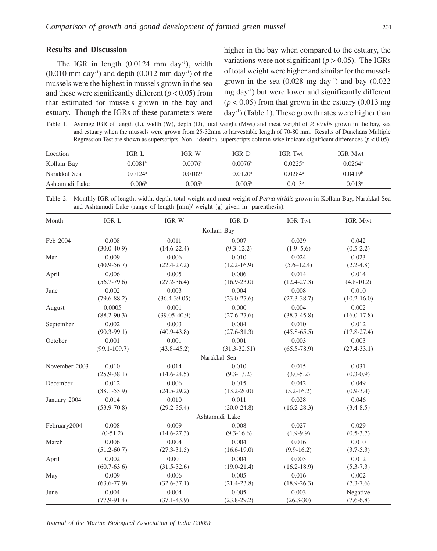# **Results and Discussion**

The IGR in length  $(0.0124 \text{ mm day}^{-1})$ , width  $(0.010 \text{ mm day}^{-1})$  and depth  $(0.012 \text{ mm day}^{-1})$  of the mussels were the highest in mussels grown in the sea and these were significantly different (*p* < 0.05) from that estimated for mussels grown in the bay and estuary. Though the IGRs of these parameters were higher in the bay when compared to the estuary, the variations were not significant ( $p > 0.05$ ). The IGRs of total weight were higher and similar for the mussels grown in the sea  $(0.028 \text{ mg day}^{-1})$  and bay  $(0.022$ mg day-1) but were lower and significantly different  $(p < 0.05)$  from that grown in the estuary  $(0.013 \text{ mg})$ day-1) (Table 1). These growth rates were higher than

Table 1. Average IGR of length (L), width (W), depth (D), total weight (Mwt) and meat weight of *P. viridis* grown in the bay, sea and estuary when the mussels were grown from 25-32mm to harvestable length of 70-80 mm. Results of Dunchans Multiple Regression Test are shown as superscripts. Non- identical superscripts column-wise indicate significant differences (*p* < 0.05).

| Location       | IGR L                 | IGR W               | IGR D                 | <b>IGR</b> Twt        | IGR Mwt               |
|----------------|-----------------------|---------------------|-----------------------|-----------------------|-----------------------|
| Kollam Bay     | 0.0081 <sup>b</sup>   | 0.0076 <sup>b</sup> | 0.0076 <sup>b</sup>   | $0.0225^{\rm a}$      | $0.0264$ <sup>a</sup> |
| Narakkal Sea   | $0.0124$ <sup>a</sup> | 0.0102 <sup>a</sup> | $0.0120$ <sup>a</sup> | $0.0284$ <sup>a</sup> | 0.0419 <sup>b</sup>   |
| Ashtamudi Lake | 0.006 <sup>b</sup>    | 0.005 <sup>b</sup>  | 0.005 <sup>b</sup>    | 0.013 <sup>b</sup>    | 0.013c                |

Table 2. Monthly IGR of length, width, depth, total weight and meat weight of *Perna viridis* grown in Kollam Bay, Narakkal Sea and Ashtamudi Lake (range of length [mm]/ weight [g] given in parenthesis).

| Month         | IGR L            | IGR W            | IGR D            | <b>IGR Twt</b>  | <b>IGR Mwt</b>  |
|---------------|------------------|------------------|------------------|-----------------|-----------------|
|               |                  |                  | Kollam Bay       |                 |                 |
| Feb 2004      | 0.008            | 0.011            | 0.007            | 0.029           | 0.042           |
|               | $(30.0-40.9)$    | $(14.6 - 22.4)$  | $(9.3-12.2)$     | $(1.9 - 5.6)$   | $(0.5-2.2)$     |
| Mar           | 0.009            | 0.006            | 0.010            | 0.024           | 0.023           |
|               | $(40.9 - 56.7)$  | $(22.4 - 27.2)$  | $(12.2 - 16.9)$  | $(5.6 - 12.4)$  | $(2.2 - 4.8)$   |
| April         | 0.006            | 0.005            | 0.006            | 0.014           | 0.014           |
|               | $(56.7 - 79.6)$  | $(27.2 - 36.4)$  | $(16.9 - 23.0)$  | $(12.4 - 27.3)$ | $(4.8 - 10.2)$  |
| June          | 0.002            | 0.003            | 0.004            | 0.008           | 0.010           |
|               | $(79.6 - 88.2)$  | $(36.4 - 39.05)$ | $(23.0 - 27.6)$  | $(27.3 - 38.7)$ | $(10.2 - 16.0)$ |
| August        | 0.0005           | 0.001            | 0.000            | 0.004           | 0.002           |
|               | $(88.2 - 90.3)$  | $(39.05 - 40.9)$ | $(27.6 - 27.6)$  | $(38.7 - 45.8)$ | $(16.0 - 17.8)$ |
| September     | 0.002            | 0.003            | 0.004            | 0.010           | 0.012           |
|               | $(90.3 - 99.1)$  | $(40.9 - 43.8)$  | $(27.6 - 31.3)$  | $(45.8 - 65.5)$ | $(17.8 - 27.4)$ |
| October       | 0.001            | 0.001            | 0.001            | 0.003           | 0.003           |
|               | $(99.1 - 109.7)$ | $(43.8 - 45.2)$  | $(31.3 - 32.51)$ | $(65.5 - 78.9)$ | $(27.4 - 33.1)$ |
|               |                  |                  | Narakkal Sea     |                 |                 |
| November 2003 | 0.010            | 0.014            | 0.010            | 0.015           | 0.031           |
|               | $(25.9 - 38.1)$  | $(14.6 - 24.5)$  | $(9.3 - 13.2)$   | $(3.0 - 5.2)$   | $(0.3-0.9)$     |
| December      | 0.012            | 0.006            | 0.015            | 0.042           | 0.049           |
|               | $(38.1 - 53.9)$  | $(24.5 - 29.2)$  | $(13.2 - 20.0)$  | $(5.2 - 16.2)$  | $(0.9-3.4)$     |
| January 2004  | 0.014            | 0.010            | 0.011            | 0.028           | 0.046           |
|               | $(53.9 - 70.8)$  | $(29.2 - 35.4)$  | $(20.0 - 24.8)$  | $(16.2 - 28.3)$ | $(3.4 - 8.5)$   |
|               |                  |                  | Ashtamudi Lake   |                 |                 |
| February2004  | 0.008            | 0.009            | 0.008            | 0.027           | 0.029           |
|               | $(0-51.2)$       | $(14.6 - 27.3)$  | $(9.3 - 16.6)$   | $(1.9-9.9)$     | $(0.5-3.7)$     |
| March         | 0.006            | 0.004            | 0.004            | 0.016           | 0.010           |
|               | $(51.2 - 60.7)$  | $(27.3 - 31.5)$  | $(16.6 - 19.0)$  | $(9.9-16.2)$    | $(3.7 - 5.3)$   |
| April         | 0.002            | 0.001            | 0.004            | 0.003           | 0.012           |
|               | $(60.7 - 63.6)$  | $(31.5 - 32.6)$  | $(19.0 - 21.4)$  | $(16.2 - 18.9)$ | $(5.3 - 7.3)$   |
| May           | 0.009            | 0.006            | 0.005            | 0.016           | 0.002           |
|               | $(63.6 - 77.9)$  | $(32.6 - 37.1)$  | $(21.4 - 23.8)$  | $(18.9 - 26.3)$ | $(7.3 - 7.6)$   |
| June          | 0.004            | 0.004            | 0.005            | 0.003           | Negative        |
|               | $(77.9-91.4)$    | $(37.1 - 43.9)$  | $(23.8-29.2)$    | $(26.3 - 30)$   | $(7.6-6.8)$     |

*Journal of the Marine Biological Association of India (2009)*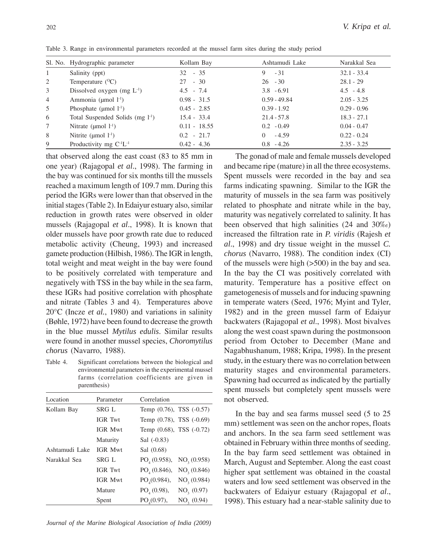|                | Sl. No. Hydrographic parameter       | Kollam Bay     | Ashtamudi Lake | Narakkal Sea  |
|----------------|--------------------------------------|----------------|----------------|---------------|
| 1              | Salinity (ppt)                       | $32 - 35$      | $-31$<br>9     | $32.1 - 33.4$ |
| 2              | Temperature $(^{O}C)$                | $27 - 30$      | $26 - 30$      | $28.1 - 29$   |
| 3              | Dissolved oxygen (mg $L^{-1}$ )      | $4.5 - 7.4$    | $3.8 - 6.91$   | $4.5 - 4.8$   |
| $\overline{4}$ | Ammonia ( $\mu$ mol $l^{-1}$ )       | $0.98 - 31.5$  | $0.59 - 49.84$ | $2.05 - 3.25$ |
| 5              | Phosphate ( $\mu$ mol $l^{-1}$ )     | $0.45 - 2.85$  | $0.39 - 1.92$  | $0.29 - 0.96$ |
| 6              | Total Suspended Solids $(mg l^{-1})$ | $15.4 - 33.4$  | $21.4 - 57.8$  | $18.3 - 27.1$ |
| $\tau$         | Nitrate ( $\mu$ mol $1^{-1}$ )       | $0.11 - 18.55$ | $0.2 - 0.49$   | $0.04 - 0.47$ |
| 8              | Nitrite ( $\mu$ mol $l^{-1}$ )       | $0.2 - 21.7$   | -4.59<br>0     | $0.22 - 0.24$ |
| 9              | Productivity mg $C^{-1}L^{-1}$       | $0.42 - 4.36$  | $0.8 - 4.26$   | $2.35 - 3.25$ |

Table 3. Range in environmental parameters recorded at the mussel farm sites during the study period

that observed along the east coast (83 to 85 mm in one year) (Rajagopal *et al*., 1998). The farming in the bay was continued for six months till the mussels reached a maximum length of 109.7 mm. During this period the IGRs were lower than that observed in the initial stages (Table 2). In Edaiyur estuary also, similar reduction in growth rates were observed in older mussels (Rajagopal *et al*., 1998). It is known that older mussels have poor growth rate due to reduced metabolic activity (Cheung, 1993) and increased gamete production (Hilbish, 1986). The IGR in length, total weight and meat weight in the bay were found to be positively correlated with temperature and negatively with TSS in the bay while in the sea farm, these IGRs had positive correlation with phosphate and nitrate (Tables 3 and 4). Temperatures above 20°C (Incze *et al.*, 1980) and variations in salinity (Bøhle, 1972) have been found to decrease the growth in the blue mussel *Mytilus edulis*. Similar results were found in another mussel species, *Choromytilus chorus* (Navarro, 1988).

Table 4. Significant correlations between the biological and environmental parameters in the experimental mussel farms (correlation coefficients are given in parenthesis)

| Location       | Parameter      | Correlation                                         |
|----------------|----------------|-----------------------------------------------------|
| Kollam Bay     | SRG L          | Temp (0.76), TSS (-0.57)                            |
|                | <b>IGR Twt</b> | Temp (0.78), TSS (-0.69)                            |
|                | IGR Mwt        | Temp (0.68), TSS (-0.72)                            |
|                | Maturity       | Sal (-0.83)                                         |
| Ashtamudi Lake | <b>IGR Mwt</b> | Sal (0.68)                                          |
| Narakkal Sea   | SRG L          | $PO_{4}(0.958)$ , NO <sub>3</sub> $(0.958)$         |
|                | <b>IGR Twt</b> | NO <sub>2</sub> (0.846)<br>PO <sub>4</sub> (0.846), |
|                | IGR Mwt        | $PO_{4}(0.984),$<br>NO <sub>3</sub> (0.984)         |
|                | Mature         | PO <sub>4</sub> (0.98),<br>NO <sub>3</sub> (0.97)   |
|                | Spent          | NO <sub>2</sub> (0.94)<br>$PO_{(0.97)}$ ,           |

The gonad of male and female mussels developed and became ripe (mature) in all the three ecosystems. Spent mussels were recorded in the bay and sea farms indicating spawning. Similar to the IGR the maturity of mussels in the sea farm was positively related to phosphate and nitrate while in the bay, maturity was negatively correlated to salinity. It has been observed that high salinities (24 and 30‰) increased the filtration rate in *P. viridis* (Rajesh *et al*., 1998) and dry tissue weight in the mussel *C. chorus* (Navarro, 1988). The condition index (CI) of the mussels were high (>500) in the bay and sea. In the bay the CI was positively correlated with maturity. Temperature has a positive effect on gametogenesis of mussels and for inducing spawning in temperate waters (Seed, 1976; Myint and Tyler, 1982) and in the green mussel farm of Edaiyur backwaters (Rajagopal *et al*., 1998). Most bivalves along the west coast spawn during the postmonsoon period from October to December (Mane and Nagabhushanum, 1988; Kripa, 1998). In the present study, in the estuary there was no correlation between maturity stages and environmental parameters. Spawning had occurred as indicated by the partially spent mussels but completely spent mussels were not observed.

In the bay and sea farms mussel seed (5 to 25 mm) settlement was seen on the anchor ropes, floats and anchors. In the sea farm seed settlement was obtained in February within three months of seeding. In the bay farm seed settlement was obtained in March, August and September. Along the east coast higher spat settlement was obtained in the coastal waters and low seed settlement was observed in the backwaters of Edaiyur estuary (Rajagopal *et al*., 1998). This estuary had a near-stable salinity due to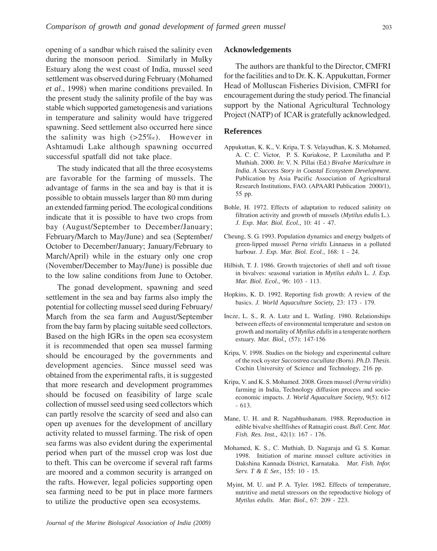opening of a sandbar which raised the salinity even during the monsoon period. Similarly in Mulky Estuary along the west coast of India, mussel seed settlement was observed during February (Mohamed *et al*., 1998) when marine conditions prevailed. In the present study the salinity profile of the bay was stable which supported gametogenesis and variations in temperature and salinity would have triggered spawning. Seed settlement also occurred here since the salinity was high  $(>25\%)$ . However in Ashtamudi Lake although spawning occurred successful spatfall did not take place.

The study indicated that all the three ecosystems are favorable for the farming of mussels. The advantage of farms in the sea and bay is that it is possible to obtain mussels larger than 80 mm during an extended farming period. The ecological conditions indicate that it is possible to have two crops from bay (August/September to December/January; February/March to May/June) and sea (September/ October to December/January; January/February to March/April) while in the estuary only one crop (November/December to May/June) is possible due to the low saline conditions from June to October.

The gonad development, spawning and seed settlement in the sea and bay farms also imply the potential for collecting mussel seed during February/ March from the sea farm and August/September from the bay farm by placing suitable seed collectors. Based on the high IGRs in the open sea ecosystem it is recommended that open sea mussel farming should be encouraged by the governments and development agencies. Since mussel seed was obtained from the experimental rafts, it is suggested that more research and development programmes should be focused on feasibility of large scale collection of mussel seed using seed collectors which can partly resolve the scarcity of seed and also can open up avenues for the development of ancillary activity related to mussel farming. The risk of open sea farms was also evident during the experimental period when part of the mussel crop was lost due to theft. This can be overcome if several raft farms are moored and a common security is arranged on the rafts. However, legal policies supporting open sea farming need to be put in place more farmers to utilize the productive open sea ecosystems.

## **Acknowledgements**

The authors are thankful to the Director, CMFRI for the facilities and to Dr. K. K. Appukuttan, Former Head of Molluscan Fisheries Division, CMFRI for encouragement during the study period. The financial support by the National Agricultural Technology Project (NATP) of ICAR is gratefully acknowledged.

### **References**

- Appukuttan, K. K., V. Kripa, T. S. Velayudhan, K. S. Mohamed, A. C. C. Victor, P. S. Kuriakose, P. Laxmilatha and P. Muthiah. 2000. *In*: V. N. Pillai (Ed.) *Bivalve Mariculture in India. A Success Story in Coastal Ecosystem Development*. Publication by Asia Pacific Association of Agricultural Research Institutions, FAO*.* (APAARI Publication 2000/1), 55 pp.
- Bohle, H. 1972. Effects of adaptation to reduced salinity on filtration activity and growth of mussels (*Mytilus edulis* L.). *J. Exp. Mar. Biol. Ecol.,* 10: 41 - 47.
- Cheung, S. G. 1993. Population dynamics and energy budgets of green-lipped mussel *Perna viridis* Linnaeus in a polluted harbour. *J. Exp. Mar. Biol. Ecol*., 168: 1 - 24.
- Hilbish, T. J. 1986. Growth trajectories of shell and soft tissue in bivalves: seasonal variation in *Mytilus edulis* L. *J. Exp. Mar. Biol. Ecol.,* 96: 103 - 113.
- Hopkins, K. D. 1992. Reporting fish growth: A review of the basics. *J. World Aquaculture Society,* 23: 173 - 179.
- Incze, L. S., R. A. Lutz and L. Watling. 1980. Relationships between effects of environmental temperature and seston on growth and mortality of *Mytilus edulis* in a temperate northern estuary. *Mar. Biol.,* (57): 147-156
- Kripa, V. 1998. Studies on the biology and experimental culture of the rock oyster *Saccostrea cucullata* (Born). *Ph.D. Thesis*. Cochin University of Science and Technology, 216 pp.
- Kripa, V. and K. S. Mohamed. 2008. Green mussel (*Perna viridis*) farming in India, Technology diffusion process and socioeconomic impacts. *J. World Aquaculture Society,* 9(5): 612 - 613.
- Mane, U. H. and R. Nagabhushanam. 1988. Reproduction in edible bivalve shellfishes of Ratnagiri coast. *Bull. Cent. Mar. Fish. Res. Inst.,* 42(1): 167 - 176.
- Mohamed, K. S., C. Muthiah, D. Nagaraja and G. S. Kumar. 1998. Initiation of marine mussel culture activities in Dakshina Kannada District, Karnataka. *Mar. Fish. Infor. Serv. T & E Ser.,* 155: 10 - 15.
- Myint, M. U. and P. A. Tyler. 1982. Effects of temperature, nutritive and metal stressors on the reproductive biology of *Mytilus edulis*. *Mar. Biol*., 67: 209 - 223.